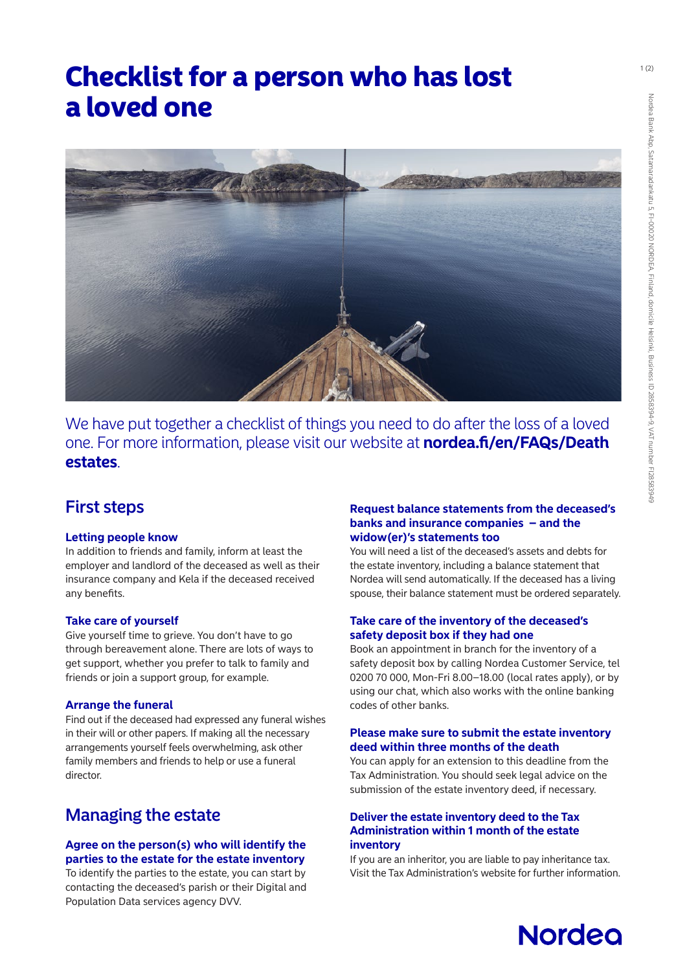## Checklist for a person who has lost a loved one



We have put together a checklist of things you need to do after the loss of a loved one. For more information, please visit our website at **[nordea.fi/en/FAQs/Death](https://www.nordea.fi/en/personal/get-help/usein-kysyttya-kuolinpesan-pankkiasioista.html#faq=Frequently-asked-questions-about-the-banking-matters-of-a-death-estate)  [estates](https://www.nordea.fi/en/personal/get-help/usein-kysyttya-kuolinpesan-pankkiasioista.html#faq=Frequently-asked-questions-about-the-banking-matters-of-a-death-estate)**.

## First steps

#### **Letting people know**

In addition to friends and family, inform at least the employer and landlord of the deceased as well as their insurance company and Kela if the deceased received any benefits.

#### **Take care of yourself**

Give yourself time to grieve. You don't have to go through bereavement alone. There are lots of ways to get support, whether you prefer to talk to family and friends or join a support group, for example.

#### **Arrange the funeral**

Find out if the deceased had expressed any funeral wishes in their will or other papers. If making all the necessary arrangements yourself feels overwhelming, ask other family members and friends to help or use a funeral director.

## Managing the estate

#### **Agree on the person(s) who will identify the parties to the estate for the estate inventory**

To identify the parties to the estate, you can start by contacting the deceased's parish or their Digital and Population Data services agency DVV.

#### **Request balance statements from the deceased's banks and insurance companies – and the widow(er)'s statements too**

You will need a list of the deceased's assets and debts for the estate inventory, including a balance statement that Nordea will send automatically. If the deceased has a living spouse, their balance statement must be ordered separately.

#### **Take care of the inventory of the deceased's safety deposit box if they had one**

Book an appointment in branch for the inventory of a safety deposit box by calling Nordea Customer Service, tel 0200 70 000, Mon-Fri 8.00–18.00 (local rates apply), or by using our chat, which also works with the online banking codes of other banks.

#### **Please make sure to submit the estate inventory deed within three months of the death**

You can apply for an extension to this deadline from the Tax Administration. You should seek legal advice on the submission of the estate inventory deed, if necessary.

#### **Deliver the estate inventory deed to the Tax Administration within 1 month of the estate inventory**

If you are an inheritor, you are liable to pay inheritance tax. Visit the Tax Administration's website for further information.